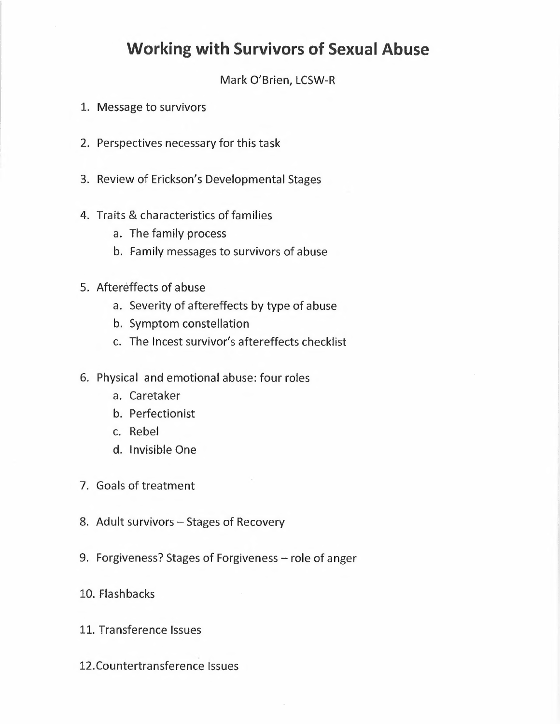## **Working with Survivors of Sexual Abuse**

Mark O'Brien, LCSW-R

- 1. Message to survivors
- 2. Perspectives necessary for this task
- 3. Review of Erickson's Developmental Stages
- 4. Traits & characteristics of families
	- a. The family process
	- b. Family messages to survivors of abuse
- 5. Aftereffects of abuse
	- a. Severity of aftereffects by type of abuse
	- b. Symptom constellation
	- c. The Incest survivor's aftereffects checklist
- 6. Physical and emotional abuse: four roles
	- a. Caretaker
	- b. Perfectionist
	- c. Rebel
	- d. Invisible One
- 7. Goals of treatment
- 8. Adult survivors Stages of Recovery
- 9. Forgiveness? Stages of Forgiveness role of anger
- 10. Flashbacks
- 11. Transference Issues
- 12.Countertransference Issues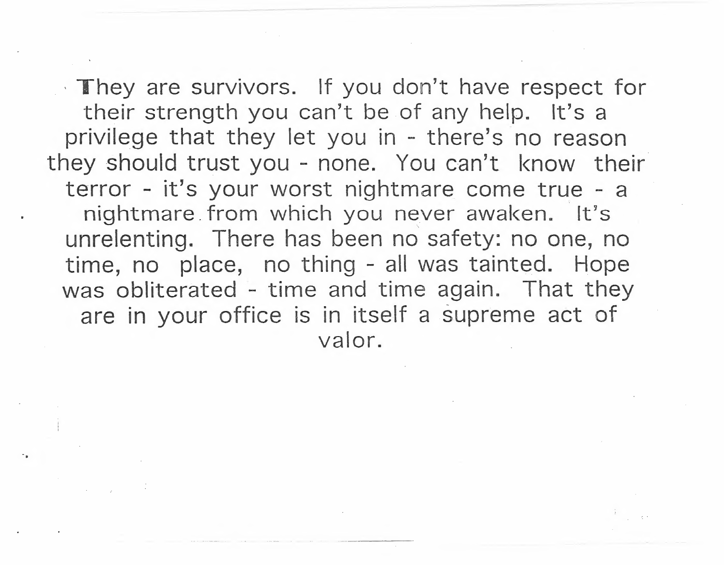**They are survivors.** If you don't have respect for their strength you can't be of any help, It's a privilege that they let you in - there's no reason they should trust you - none. You can't know their terror - it's your worst nightmare come true - a nightmare. from which you never awaken, It's unrelenting. There has been no safety: no one, no time, no place, no thing - all was tainted. Hope was obliterated - time and time again. That they are in your office is in itself a supreme act of valor.

---·-·-··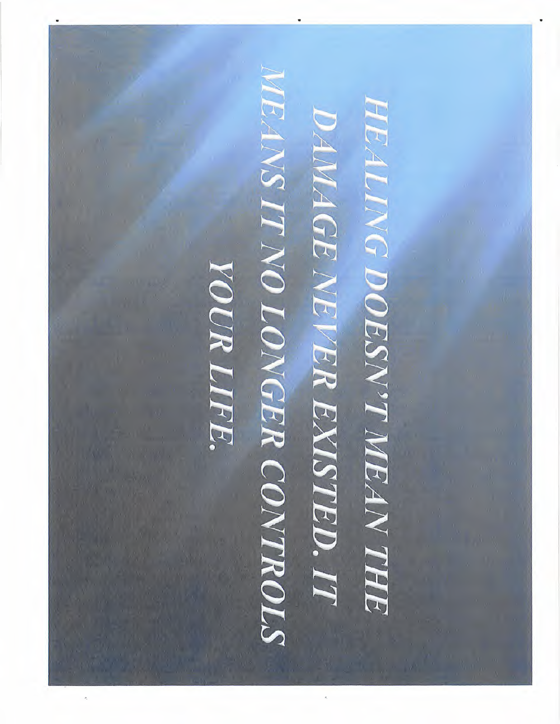# MEANS IT NO LONGER CONTROLS HEALING DOESN'T MEAN THE DAMAGE NEVER EXISTED. IT YOUR LIFE.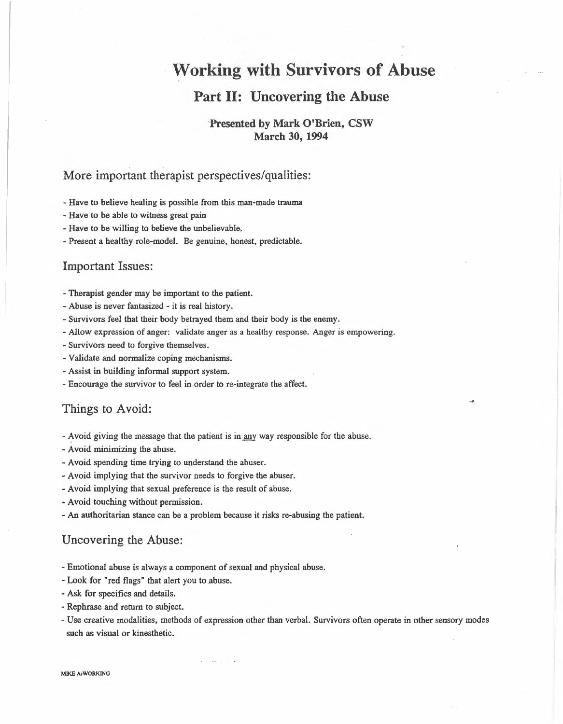## **Working with Survivors of Abuse**

## **Part II: Uncovering the Abuse**

#### **"Presented by Mark O'Brien, CSW March 30, 1994**

#### More important therapist perspectives/qualities:

- Have to believe healing is possible from this man-made trauma
- Have to be able to witness great pain
- Have to be willing to believe the unbelievable.
- Present a healthy role-model. Be genuine, honest, predictable.

#### Important Issues:

- Therapist gender may be important to the patient.
- Abuse is never fantasized it is real history.
- Survivors feel that their body betrayed them and their body is the enemy.
- Allow expression of anger: validate anger as a healthy response. Anger is empowering.
- Survivors need to forgive themselves.
- Validate and normalize coping mechanisms.
- Assist in building informal support system.
- Encourage the survivor to feel in order to re-integrate the affect.

#### Things to Avoid:

- Avoid giving the message that the patient is in any way responsible for the abuse.
- Avoid minimizing the abuse.
- Avoid spending time trying to understand the abuser.
- Avoid implying that the survivor needs to forgive the abuser.
- Avoid implying that sexual preference is the result of abuse.
- Avoid touching without permission.

- An authoritarian stance can be a problem because it risks re-abusing the patient.

#### Uncovering the Abuse:

- Emotional abuse is always a component of sexual and physical abuse.
- Look for "red flags" that alert you to abuse.
- Ask for specifics and details.
- Rephrase and return to subject.
- Use creative modalities, methods of expression other than verbal. Survivors often operate in other sensory modes such as visual or kinesthetic.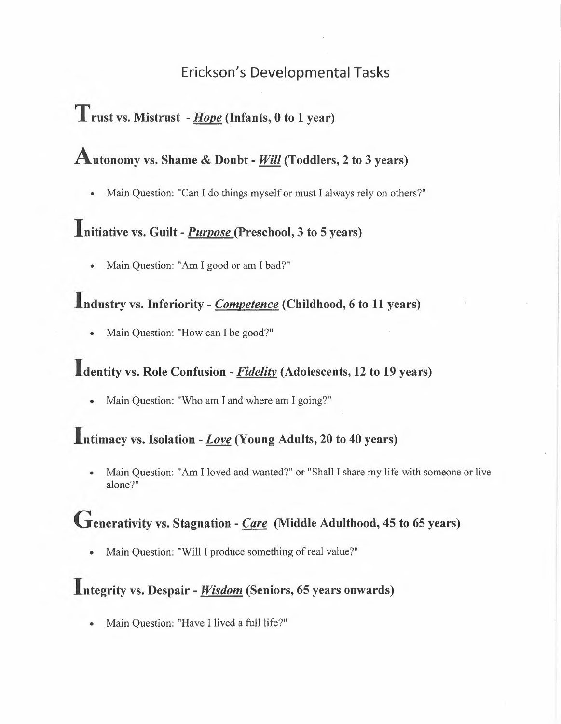## Erickson's Developmental Tasks

## **Trust vs. Mistrust -** *Hope* **(Infants, O to 1 year)**

## **Áutonomy vs. Shame** & **Doubt -** *Will* **(Toddlers, 2 to 3 years)**

Main Question: "Can I do things myself or must I always rely on others?"

## **Initiative vs. Guilt -** *Purpose* **(Preschool, 3 to 5 years)**

• Main Question: "Am I good or am I bad?"

## **Industry vs. Inferiority -** *Competence* **(Childhood, 6 to 11 years)**

• Main Question: "How can I be good?"

## **Identity vs. Role Confusion -** *Fidelity* **(Adolescents, 12 to 19 years)**

Main Question: "Who am I and where am I going?"

## **Intimacy vs. Isolation -** *Love* **(Young Adults, 20 to 40 years)**

• Main Question: "Am I loved and wanted?" or "Shall I share my life with someone or live alone?"

## Generativity vs. Stagnation - *Care* (Middle Adulthood, 45 to 65 years)

• Main Question: "Will I produce something of real value?"

## **Integrity vs. Despair -** *Wisdom* **(Seniors, 65 years onwards)**

• Main Question: "Have I lived a full life?"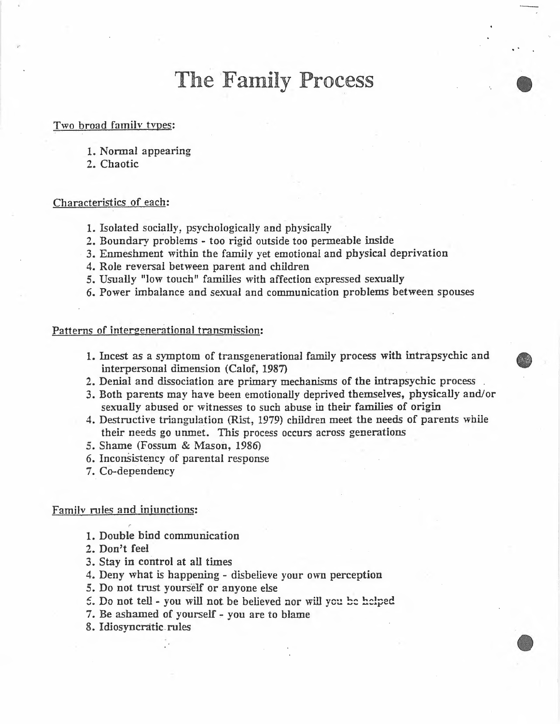## **The Family Process**

#### Two broad family types:

- 1. Normal appearing
- 2. Chaotic

#### Characteristics of each:

- l. Isolated socially, psychologically and physically
- 2. Boundary problems too rigid outside too permeable inside
- 3. Enmeshment within the family yet emotional and physical deprivation
- 4. Role reversal between parent and children
- 5. Usually "low touch" families with affection expressed sexually
- 6. Power imbalance and sexual and communication problems between spouses

#### Patterns of intergenerational transmission:

- l. Incest as a symptom of transgenerational family process with intrapsychic and **e**  interpersonal dimension (Calaf, 1987)
- 2. Denial and dissociation are primary mechanisms of the intrapsychic process .
- 3. Both parents may have been emotionally deprived themselves, physically and/or sexually abused or witnesses to such abuse in their families of origin
- 4. Destructive triangulation (Rist, 1979) children meet the needs of parents while their needs go unmet. This process occurs across generations
- 5. Shame (Fossum & Mason, 1986)
- 6. Inconsistency of parental response
- 7. Co-dependency

#### Familv rules and injunctions:

- l. Double bind communication
- 2. Don't feel
- 3. Stay in control at all times
- 4. Deny what is happening disbelieve your own perception
- 5. Do not trust yourself or anyone else
- £. Do not tell you will not be believed nor will you *==* helped
- 7. Be ashamed of yourself ~ you are to blame
- 8. Idiosyncratic. rules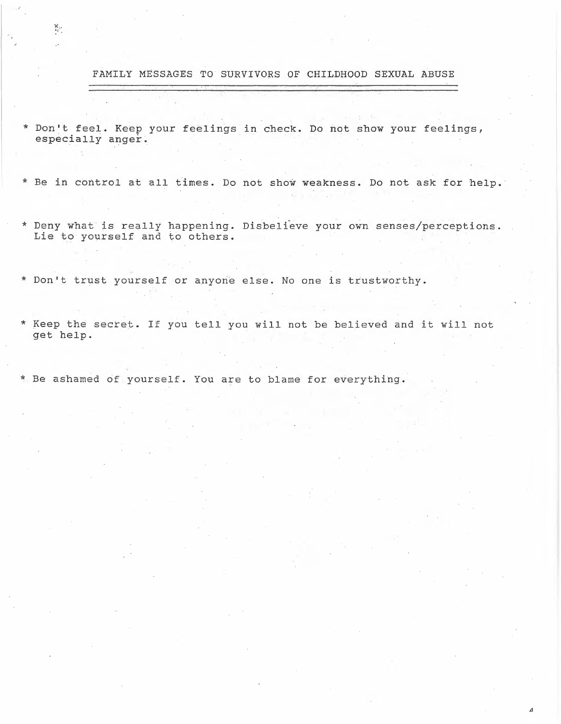FAMILY MESSAGES TO SURVIVORS OF CHILDHOOD SEXUAL ABUSE

\* Don't feel. Keep your feelings in check. Do not show your feelings, **especially anger. .** 

*I'* 

 $\mathbf{x}$  .

- \* Be in control at all times. Do not show weakness. Do not ask for help.
- \* Deny what is really happening. Disbelieve your own senses/perceptions. Lie to yourself and to others.
- \* Don't trust yourself or anyorie else. No one is trustworthy.
- \* Keep the secret. If you tell you will not be believed and it will not get help.

\* Be ashamed of yourself. You are to blame for everythihg.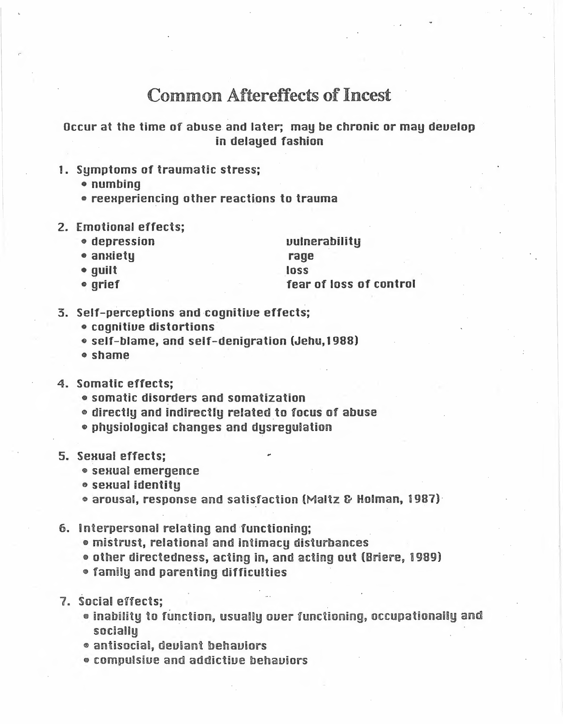## **Common Aftereffects of Incest**

Occur at the time of abuse and later; may be chronic or may develop in delayed fashion

- 1. Sumptoms of traumatic stress:
	- numbing
	- reexperiencing other reactions to trauma
- 2. Emotional effects:
	- depression
	- anxietu

vulnerability rage

• quilt

loss fear of loss of control

- grief
- 3. Self-perceptions and cognitive effects;
	- cognitive distortions
	- · self-blame, and self-denigration (Jehu, 1988)
	- shame
- 4. Somatic effects:
	- · somatic disorders and somatization
	- · directly and indirectly related to focus of abuse
	- · physiological changes and dysregulation
- 5. Sexual effects:
	- sexual emergence
	- · sexual identitu
	- arousal, response and satisfaction (Maltz & Holman, 1987)
- 6. Interpersonal relating and functioning;
	- · mistrust, relational and intimacy disturbances
	- · other directedness, acting in, and acting out (Briere, 1989)
	- family and parenting difficulties
- 7. Social effects:
	- · inability to function, usually over functioning, occupationally and socially
	- · antisocial, deviant behaviors
	- · compulsive and addictive behaviors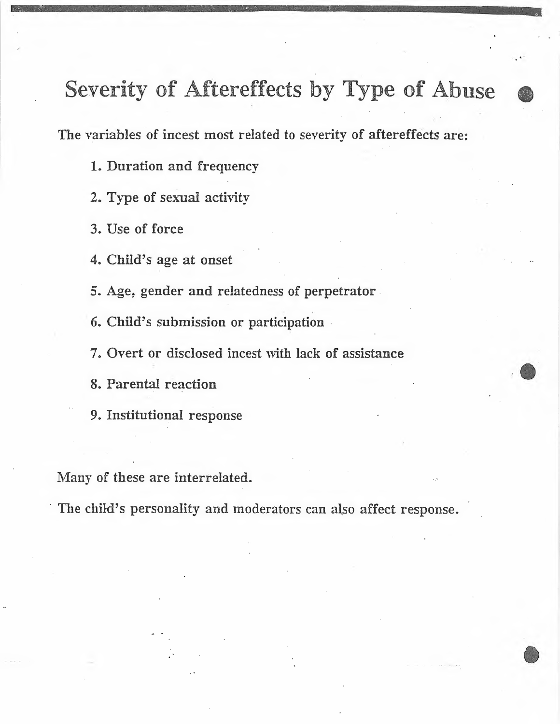## Severity of Aftereffects by Type of Abuse

The variables of incest most related to severity of aftereffects are:

- 1. Duration and frequency
- 2. Type of sexual activity
- 3. Use of force
- 4. Child's age at onset
- 5. Age, gender and relatedness of perpetrator
- 6. Child's submission or participation
- 7. Overt or disclosed incest with lack of assistance
- 8. Parental reaction
- 9. Institutional response

Many of these are interrelated.

The child's personality and moderators can also affect response.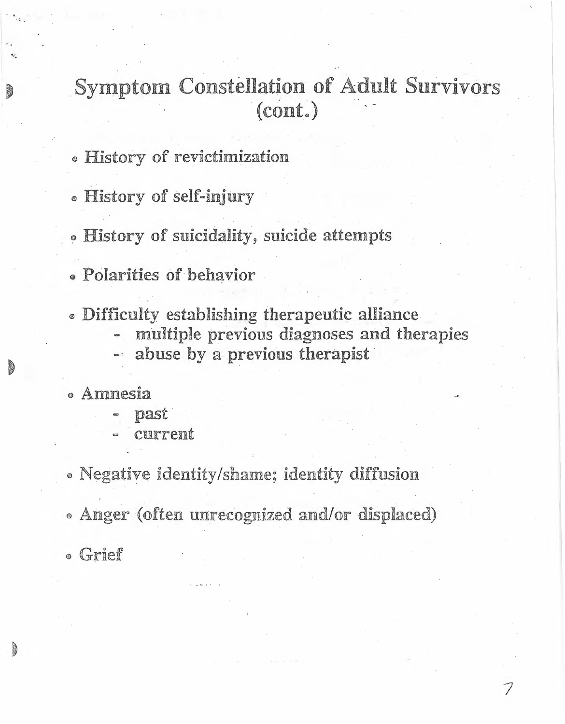# . Symptom Constellation of Adult Survivors angebra Compensation of the

- <sup>e</sup>History of revictimization
- <sup>e</sup>History of self-injury
- ~ History of suícídalíty, suicide attempts
- <sup>e</sup>Polarities of behavior .
- <sup>e</sup>Difficulty establishing therapeutic alliance.
	- multiple previous diagnoses and therapies

7

- **-· abuse by a previous therapist ·**
- <sup>0</sup>Amnesia

D

- past·
- current
- ® Negative identity/shame; identity diffusion
- ® Anger ( often unrecognized and/ or displaced)
- ® Grief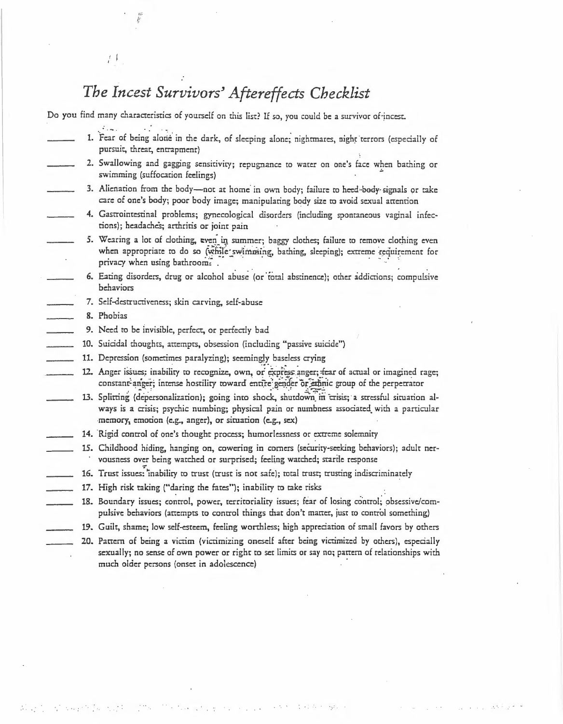## The Incest Survivors' Aftereffects Checklist

 $\frac{1}{k}$ 

Do you find many characteristics of yourself on this list? If so, you could be a survivor of incest.

1. Fear of being alone in the dark, of sleeping alone; nightmares, night terrors (especially of pursuit, threat, entrapment) 2. Swallowing and gagging sensitivity; repugnance to water on one's face when bathing or swimming (suffocation feelings) 3. Alienation from the body-not at home in own body; failure to heed-body signals or take care of one's body; poor body image; manipulating body size to avoid sexual attention 4. Gastrointestinal problems; gynecological disorders (including spontaneous vaginal infections); headaches; arthritis or joint pain 5. Wearing a lot of clothing, even in summer; baggy clothes; failure to remove clothing even when appropriate to do so (while swimming, bathing, sleeping); extreme requirement for privacy when using bathroom. 6. Eating disorders, drug or alcohol abuse (or total abstinence); other addictions; compulsive behaviors 7. Self-destructiveness; skin carving, self-abuse 8. Phobias 9. Need to be invisible, perfect, or perfectly bad 10. Suicidal thoughts, attempts, obsession (including "passive suicide") 11. Depression (sometimes paralyzing); seemingly baseless crying 12. Anger issues: inability to recognize, own, or express anger; fear of actual or imagined rage; constant anger; intense hostility toward entire gender or ethnic group of the perpetrator 13. Splitting (depersonalization); going into shock, shutdown in crisis; a stressful situation always is a crisis; psychic numbing; physical pain or numbness associated with a particular memory, emotion (e.g., anger), or situation (e.g., sex) 14. Rigid control of one's thought process; humorlessness or extreme solemnity 15. Childhood hiding, hanging on, cowering in corners (security-seeking behaviors); adult nervousness over being watched or surprised; feeling watched; startle response 16. Trust issues: inability to trust (trust is not safe); total trust; trusting indiscriminately 17. High risk taking ("daring the fates"); inability to take risks 18. Boundary issues; control, power, territoriality issues; fear of losing control; obsessive/compulsive behaviors (attempts to control things that don't matter, just to control something) 19. Guilt, shame; low self-esteem, feeling worthless; high appreciation of small favors by others 20. Pattern of being a victim (victimizing oneself after being victimized by others), especially

sexually; no sense of own power or right to set limits or say no; pattern of relationships with

much older persons (onset in adolescence)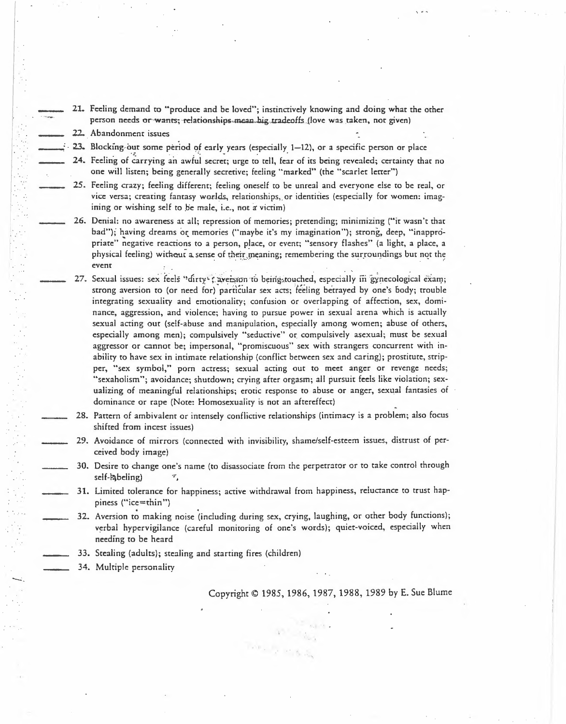- 21. Feeling demand to "produce and be loved"; instinctively knowing and doing what the other person needs or wants; relationships mean big tradeoffs (love was taken, not given)
- 22. Abandonment issues
	- 23. Blocking out some period of early years (especially 1-12), or a specific person or place
- 24. Feeling of carrying an awful secret; urge to tell, fear of its being revealed; certainty that no one will listen; being generally secretive; feeling "marked" (the "scarlet letter")
- 25. Feeling crazy; feeling different; feeling oneself to be unreal and everyone else to be real, or vice versa; creating fantasy worlds, relationships, or identities (especially for women: imagining or wishing self to be male, i.e., not a victim)
- 26. Denial: no awareness at all; repression of memories; pretending; minimizing ("it wasn't that bad"); having dreams or memories ("maybe it's my imagination"); strong, deep, "inappropriate" negative reactions to a person, place, or event; "sensory flashes" (a light, a place, a physical feeling) without a sense of their meaning; remembering the surroundings but not the event
- 27. Sexual issues: sex feels "dirtys"; aversion to being touched, especially in gynecological exam; strong aversion to (or need for) particular sex acts; feeling betrayed by one's body; trouble integrating sexuality and emotionality; confusion or overlapping of affection, sex, dominance, aggression, and violence; having to pursue power in sexual arena which is actually sexual acting out (self-abuse and manipulation, especially among women; abuse of others, especially among men); compulsively "seductive" or compulsively asexual; must be sexual aggressor or cannot be; impersonal, "promiscuous" sex with strangers concurrent with inability to have sex in intimate relationship (conflict between sex and caring); prostitute, stripper, "sex symbol," porn actress; sexual acting out to meet anger or revenge needs; "sexaholism"; avoidance; shutdown; crying after orgasm; all pursuit feels like violation; sexualizing of meaningful relationships; erotic response to abuse or anger, sexual fantasies of dominance or rape (Note: Homosexuality is not an aftereffect)
- 28. Pattern of ambivalent or intensely conflictive relationships (intimacy is a problem; also focus shifted from incest issues)
- 29. Avoidance of mirrors (connected with invisibility, shame/self-esteem issues, distrust of perceived body image)
- 30. Desire to change one's name (to disassociate from the perpetrator or to take control through self-labeling)
- 31. Limited tolerance for happiness; active withdrawal from happiness, reluctance to trust happiness ("ice=thin")
- 32. Aversion to making noise (including during sex, crying, laughing, or other body functions); verbal hypervigilance (careful monitoring of one's words); quiet-voiced, especially when needing to be heard
- 33. Stealing (adults); stealing and starting fires (children)
- 34. Multiple personality

Copyright © 1985, 1986, 1987, 1988, 1989 by E. Sue Blume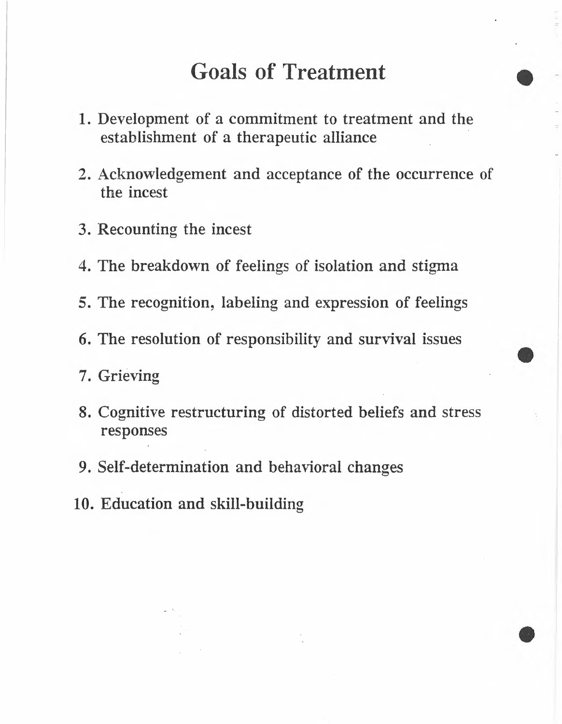## **Goals of Treatment**

- 1. Development of a commitment to treatment and the establishment of a therapeutic alliance
- 2. Acknowledgement and acceptance of the occurrence of the incest
- 3. Recounting the incest
- 4. The breakdown of feelings of isolation and stigma
- 5. The recognition, labeling and expression of feelings
- 6. The resolution of responsibility and survival issues
- 7. Grieving
- 8. Cognitive restructuring of distorted beliefs and stress responses
- 9. Self-determination and behavioral changes
- 10. Education and skill-building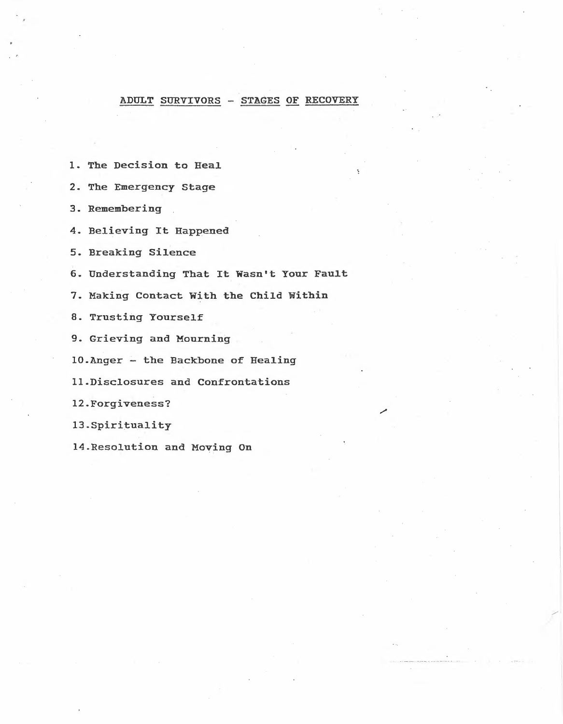### ADULT SURVIVORS - STAGES OF RECOVERY

l. The Decision to Heal

2. The Emergency Stage

3. Remembering

4. Believing It Happened

5. Breaking Silence

6. Understanding That It Wasn't Your Fault

7. Making Contact **W~th** the Child **Within** 

8. Trusting Yourself

9. Grieving and Mourning

10.Anger - the Backbone of Healing

11.Disclosures and Confrontations

12.Forgiveness?

13.Spirituality

14.Resolution and Moving On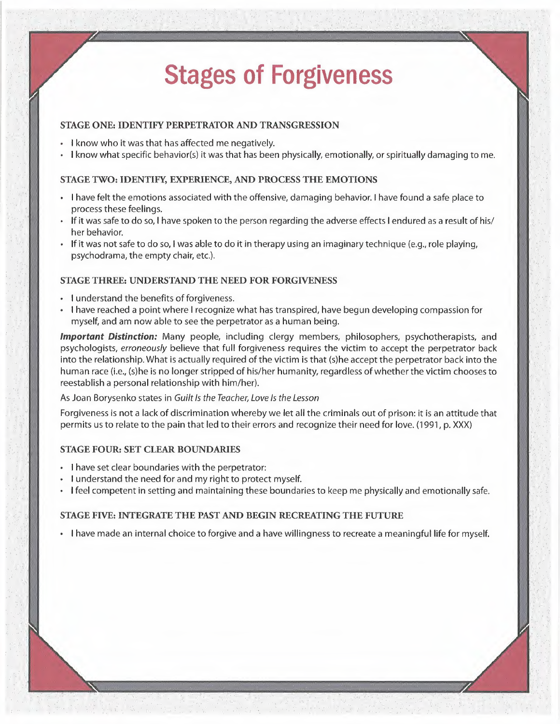# **Stages of Forgiveness**

#### **STAGE ONE: IDENTIFY PERPETRATOR AND TRANSGRESSION**

- I know who it was that has affected me negatively.
- I know what specific behavior(s) it was that has been physically, emotionally, or spiritually damaging to me.

#### STAGE TWO: IDENTIFY, EXPERIENCE, AND PROCESS THE EMOTIONS

- I have felt the emotions associated with the offensive, damaging behavior. I have found a safe place to process these feelings.
- If it was safe to do so, I have spoken to the person regarding the adverse effects I endured as a result of his/ her behavior.
- If it was not safe to do so, I was able to do it in therapy using an imaginary technique (e.g., role playing, psychodrama, the empty chair, etc.).

#### **STAGE THREE: UNDERSTAND THE NEED FOR FORGIVENESS**

- I understand the benefits of forgiveness.
- I have reached a point where I recognize what has transpired, have begun developing compassion for myself, and am now able to see the perpetrator as a human being.

*Important Distinction:* Many people, including clergy members, philosophers, psychotherapists, and psychologists, *erroneously* believe that full forgiveness requires the victim to accept the perpetrator back into the relationship. What is actually required of the victim is that (s)he accept the perpetrator back into the human race (i.e., (s)he is no longer stripped of his/her humanity, regardless of whether the victim chooses to reestablish a personal relationship with him/her).

#### As Joan Borysenko states in *Guilt Is the Teacher, Love Is the Lesson*

Forgiveness is not a lack of discrimination whereby we let all the criminals out of prison: it is an attitude that permits us to relate to the pain that led to their errors and recognize their need for love. (1991, p. XXX)

#### **STAGE FOUR: SET CLEAR BOUNDARIES**

- I have set clear boundaries with the perpetrator:
- I understand the need for and my right to protect myself.
- I feel competent in setting and maintaining these boundaries to keep me physically and emotionally safe.

#### **STAGE FIVE: INTEGRATE THE PAST AND BEGIN RECREATING THE FUTURE**

• I have made an internal choice to forgive and a have willingness to recreate a meaningful life for myself.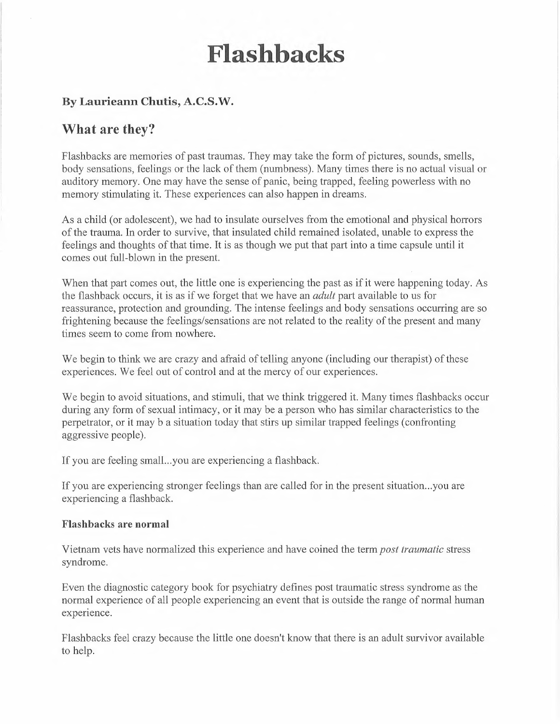# **Flashbacks**

## **By Laurieann Chutis, A.C.S.W.**

## **What are they?**

Flashbacks are memories of past traumas. They may take the form of pictures, sounds, smells, body sensations, feelings or the lack of them (numbness). Many times there is no actual visual or auditory memory. One may have the sense of panic, being trapped, feeling powerless with no memory stimulating it. These experiences can also happen in dreams.

As a child (or adolescent), we had to insulate ourselves from the emotional and physical horrors of the trauma. In order to survive, that insulated child remained isolated, unable to express the feelings and thoughts of that time. It is as though we put that part into a time capsule until it comes out full-blown in the present.

When that part comes out, the little one is experiencing the past as if it were happening today. As the flashback occurs, it is as if we forget that we have an *adult* part available to us for reassurance, protection and grounding. The intense feelings and body sensations occurring are so frightening because the feelings/sensations are not related to the reality of the present and many times seem to come from nowhere.

We begin to think we are crazy and afraid of telling anyone (including our therapist) of these experiences. We feel out of control and at the mercy of our experiences.

We begin to avoid situations, and stimuli, that we think triggered it. Many times flashbacks occur during any form of sexual intimacy, or it may be a person who has similar characteristics to the perpetrator, or it may b a situation today that stirs up similar trapped feelings ( confronting aggressive people).

If you are feeling small...you are experiencing a flashback.

If you are experiencing stronger feelings than are called for in the present situation ... you are experiencing a flashback.

#### **Flashbacks are normal**

Vietnam vets have normalized this experience and have coined the term *post traumatic* stress syndrome.

Even the diagnostic category book for psychiatry defines post traumatic stress syndrome as the normal experience of all people experiencing an event that is outside the range of normal human experience.

Flashbacks feel crazy because the little one doesn't know that there is an adult survivor available to help.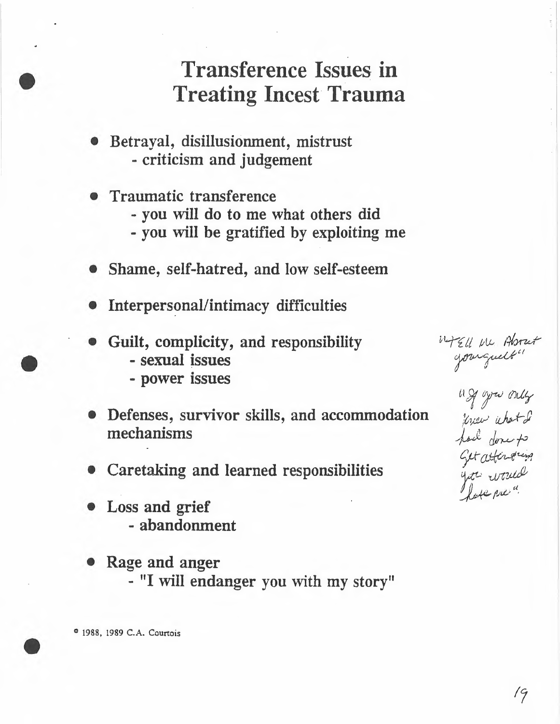# Transference Issues in Treating Incest Trauma

- Betrayal, disillusionment, mistrust - criticism and judgement
- Traumatic transference
	- you will do to me what others did
	- you will be gratified by exploiting me
- Shame, self-hatred, and low self-esteem
- Interpersonal/intimacy difficulties
- Guilt, complicity, and responsibility - sexual issues
	- power issues
- Defenses, survivor skills, and accommodation mechanisms
- Caretaking and learned responsibilities
- Loss and grief - abandonment
- Rage and anger - "I will endanger you with my story"

MYEll M. Abrut

11 g april only<br>Jenew what I had done to Get attending<br>you would

e 1988, 1989 C.A. Courtois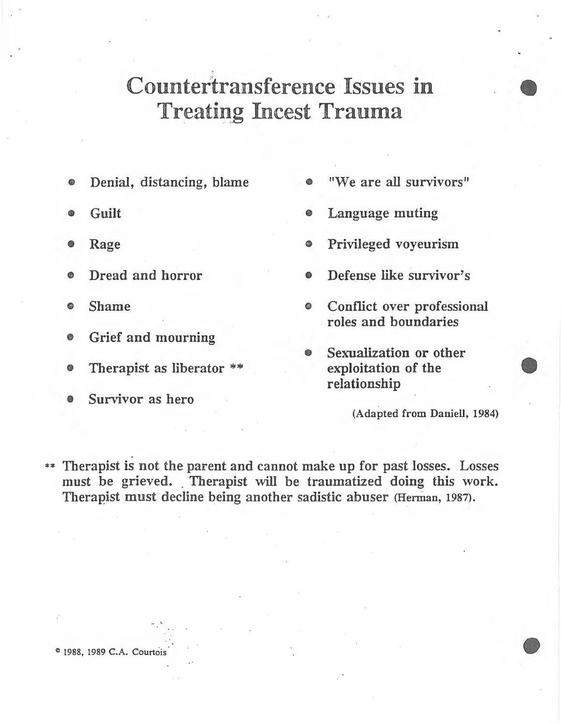# Countertransference Issues in Treating Incest Trauma

- Denial, distancing, blame
- Guilt
- Rage
- Dread and horror
- Shame
- Grief and mourning
- Therapist as liberator \*\*
- Survivor as hero

.

- "We are all survivors"
- Language muting
- Privileged voyeurism
- Defense like survivor's
- Conflict over professional roles and boundaries
- Sexualization or other exploitation of the relationship

(Adapted from Daniell, 1984)

\*\* Therapist is not the parent and cannot make up for past losses. Losses must be grieved. Therapist will be traumatized doing this work. Therapist must decline being another sadistic abuser (Herman, 1987).

e 1988, 1989 C.A. Courtois ·